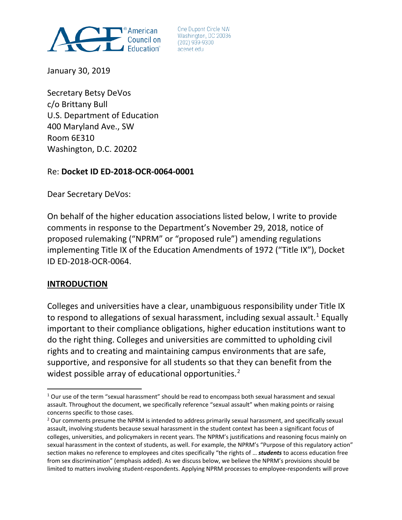

One Dupont Circle NW Washington, DC 20036  $(202)$  939-9300 acenet.edu

January 30, 2019

Secretary Betsy DeVos c/o Brittany Bull U.S. Department of Education 400 Maryland Ave., SW Room 6E310 Washington, D.C. 20202

#### Re: **Docket ID ED-2018-OCR-0064-0001**

Dear Secretary DeVos:

On behalf of the higher education associations listed below, I write to provide comments in response to the Department's November 29, 2018, notice of proposed rulemaking ("NPRM" or "proposed rule") amending regulations implementing Title IX of the Education Amendments of 1972 ("Title IX"), Docket ID ED-2018-OCR-0064.

#### **INTRODUCTION**

 $\overline{a}$ 

Colleges and universities have a clear, unambiguous responsibility under Title IX to respond to allegations of sexual harassment, including sexual assault.<sup>[1](#page-0-0)</sup> Equally important to their compliance obligations, higher education institutions want to do the right thing. Colleges and universities are committed to upholding civil rights and to creating and maintaining campus environments that are safe, supportive, and responsive for all students so that they can benefit from the widest possible array of educational opportunities.<sup>[2](#page-0-1)</sup>

<span id="page-0-0"></span> $1$  Our use of the term "sexual harassment" should be read to encompass both sexual harassment and sexual assault. Throughout the document, we specifically reference "sexual assault" when making points or raising concerns specific to those cases.

<span id="page-0-1"></span><sup>&</sup>lt;sup>2</sup> Our comments presume the NPRM is intended to address primarily sexual harassment, and specifically sexual assault, involving students because sexual harassment in the student context has been a significant focus of colleges, universities, and policymakers in recent years. The NPRM's justifications and reasoning focus mainly on sexual harassment in the context of students, as well. For example, the NPRM's "Purpose of this regulatory action" section makes no reference to employees and cites specifically "the rights of … *students* to access education free from sex discrimination" (emphasis added). As we discuss below, we believe the NPRM's provisions should be limited to matters involving student-respondents. Applying NPRM processes to employee-respondents will prove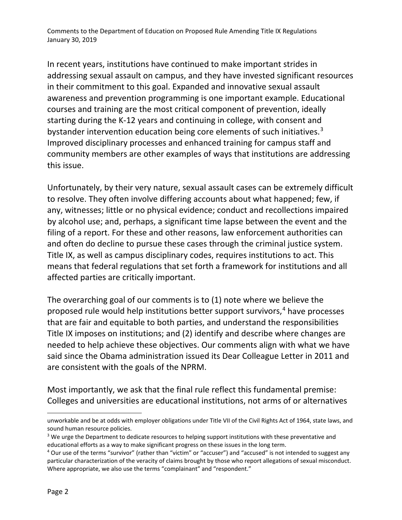In recent years, institutions have continued to make important strides in addressing sexual assault on campus, and they have invested significant resources in their commitment to this goal. Expanded and innovative sexual assault awareness and prevention programming is one important example. Educational courses and training are the most critical component of prevention, ideally starting during the K-12 years and continuing in college, with consent and bystander intervention education being core elements of such initiatives.<sup>[3](#page-1-0)</sup> Improved disciplinary processes and enhanced training for campus staff and community members are other examples of ways that institutions are addressing this issue.

Unfortunately, by their very nature, sexual assault cases can be extremely difficult to resolve. They often involve differing accounts about what happened; few, if any, witnesses; little or no physical evidence; conduct and recollections impaired by alcohol use; and, perhaps, a significant time lapse between the event and the filing of a report. For these and other reasons, law enforcement authorities can and often do decline to pursue these cases through the criminal justice system. Title IX, as well as campus disciplinary codes, requires institutions to act. This means that federal regulations that set forth a framework for institutions and all affected parties are critically important.

The overarching goal of our comments is to (1) note where we believe the proposed rule would help institutions better support survivors,<sup>[4](#page-1-1)</sup> have processes that are fair and equitable to both parties, and understand the responsibilities Title IX imposes on institutions; and (2) identify and describe where changes are needed to help achieve these objectives. Our comments align with what we have said since the Obama administration issued its Dear Colleague Letter in 2011 and are consistent with the goals of the NPRM.

Most importantly, we ask that the final rule reflect this fundamental premise: Colleges and universities are educational institutions, not arms of or alternatives

unworkable and be at odds with employer obligations under Title VII of the Civil Rights Act of 1964, state laws, and sound human resource policies.

<span id="page-1-0"></span><sup>&</sup>lt;sup>3</sup> We urge the Department to dedicate resources to helping support institutions with these preventative and educational efforts as a way to make significant progress on these issues in the long term.

<span id="page-1-1"></span><sup>4</sup> Our use of the terms "survivor" (rather than "victim" or "accuser") and "accused" is not intended to suggest any particular characterization of the veracity of claims brought by those who report allegations of sexual misconduct. Where appropriate, we also use the terms "complainant" and "respondent."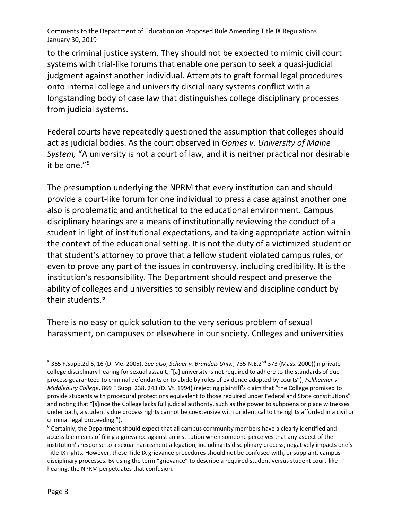to the criminal justice system. They should not be expected to mimic civil court systems with trial-like forums that enable one person to seek a quasi-judicial judgment against another individual. Attempts to graft formal legal procedures onto internal college and university disciplinary systems conflict with a longstanding body of case law that distinguishes college disciplinary processes from judicial systems.

Federal courts have repeatedly questioned the assumption that colleges should act as judicial bodies. As the court observed in *Gomes v. University of Maine System,* "A university is not a court of law, and it is neither practical nor desirable it be one."[5](#page-2-0)

The presumption underlying the NPRM that every institution can and should provide a court-like forum for one individual to press a case against another one also is problematic and antithetical to the educational environment. Campus disciplinary hearings are a means of institutionally reviewing the conduct of a student in light of institutional expectations, and taking appropriate action within the context of the educational setting. It is not the duty of a victimized student or that student's attorney to prove that a fellow student violated campus rules, or even to prove any part of the issues in controversy, including credibility. It is the institution's responsibility. The Department should respect and preserve the ability of colleges and universities to sensibly review and discipline conduct by their students.<sup>[6](#page-2-1)</sup>

There is no easy or quick solution to the very serious problem of sexual harassment, on campuses or elsewhere in our society. Colleges and universities

<span id="page-2-0"></span><sup>5</sup> 365 F.Supp.2d 6, 16 (D. Me. 2005). *See also*, *Schaer v. Brandeis Univ.*, 735 N.E.2nd 373 (Mass. 2000)(in private college disciplinary hearing for sexual assault, "[a] university is not required to adhere to the standards of due process guaranteed to criminal defendants or to abide by rules of evidence adopted by courts"); *Fellheimer v. Middlebury College*, 869 F.Supp. 238, 243 (D. Vt. 1994) (rejecting plaintiff's claim that "the College promised to provide students with procedural protections equivalent to those required under Federal and State constitutions" and noting that "[s]ince the College lacks full judicial authority, such as the power to subpoena or place witnesses under oath, a student's due process rights cannot be coextensive with or identical to the rights afforded in a civil or criminal legal proceeding.").

<span id="page-2-1"></span> $6$  Certainly, the Department should expect that all campus community members have a clearly identified and accessible means of filing a grievance against an institution when someone perceives that any aspect of the institution's response to a sexual harassment allegation, including its disciplinary process, negatively impacts one's Title IX rights. However, these Title IX grievance procedures should not be confused with, or supplant, campus disciplinary processes. By using the term "grievance" to describe a required student versus student court-like hearing, the NPRM perpetuates that confusion.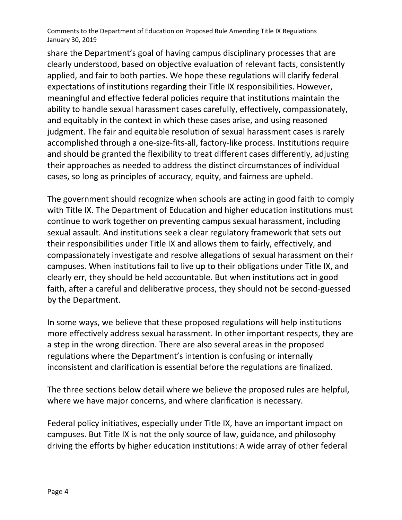share the Department's goal of having campus disciplinary processes that are clearly understood, based on objective evaluation of relevant facts, consistently applied, and fair to both parties. We hope these regulations will clarify federal expectations of institutions regarding their Title IX responsibilities. However, meaningful and effective federal policies require that institutions maintain the ability to handle sexual harassment cases carefully, effectively, compassionately, and equitably in the context in which these cases arise, and using reasoned judgment. The fair and equitable resolution of sexual harassment cases is rarely accomplished through a one-size-fits-all, factory-like process. Institutions require and should be granted the flexibility to treat different cases differently, adjusting their approaches as needed to address the distinct circumstances of individual cases, so long as principles of accuracy, equity, and fairness are upheld.

The government should recognize when schools are acting in good faith to comply with Title IX. The Department of Education and higher education institutions must continue to work together on preventing campus sexual harassment, including sexual assault. And institutions seek a clear regulatory framework that sets out their responsibilities under Title IX and allows them to fairly, effectively, and compassionately investigate and resolve allegations of sexual harassment on their campuses. When institutions fail to live up to their obligations under Title IX, and clearly err, they should be held accountable. But when institutions act in good faith, after a careful and deliberative process, they should not be second-guessed by the Department.

In some ways, we believe that these proposed regulations will help institutions more effectively address sexual harassment. In other important respects, they are a step in the wrong direction. There are also several areas in the proposed regulations where the Department's intention is confusing or internally inconsistent and clarification is essential before the regulations are finalized.

The three sections below detail where we believe the proposed rules are helpful, where we have major concerns, and where clarification is necessary.

Federal policy initiatives, especially under Title IX, have an important impact on campuses. But Title IX is not the only source of law, guidance, and philosophy driving the efforts by higher education institutions: A wide array of other federal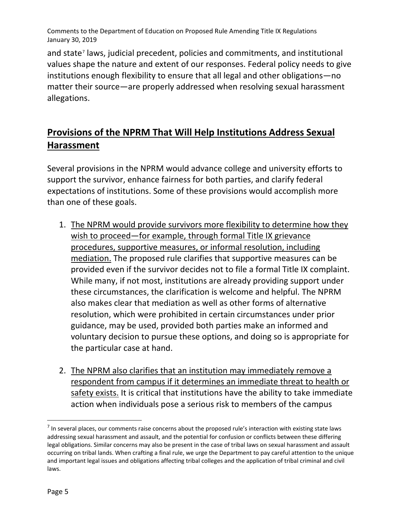and state<sup>[7](#page-4-0)</sup> laws, judicial precedent, policies and commitments, and institutional values shape the nature and extent of our responses. Federal policy needs to give institutions enough flexibility to ensure that all legal and other obligations—no matter their source—are properly addressed when resolving sexual harassment allegations.

# **Provisions of the NPRM That Will Help Institutions Address Sexual Harassment**

Several provisions in the NPRM would advance college and university efforts to support the survivor, enhance fairness for both parties, and clarify federal expectations of institutions. Some of these provisions would accomplish more than one of these goals.

- 1. The NPRM would provide survivors more flexibility to determine how they wish to proceed—for example, through formal Title IX grievance procedures, supportive measures, or informal resolution, including mediation. The proposed rule clarifies that supportive measures can be provided even if the survivor decides not to file a formal Title IX complaint. While many, if not most, institutions are already providing support under these circumstances, the clarification is welcome and helpful. The NPRM also makes clear that mediation as well as other forms of alternative resolution, which were prohibited in certain circumstances under prior guidance, may be used, provided both parties make an informed and voluntary decision to pursue these options, and doing so is appropriate for the particular case at hand.
- 2. The NPRM also clarifies that an institution may immediately remove a respondent from campus if it determines an immediate threat to health or safety exists. It is critical that institutions have the ability to take immediate action when individuals pose a serious risk to members of the campus

<span id="page-4-0"></span> $<sup>7</sup>$  In several places, our comments raise concerns about the proposed rule's interaction with existing state laws</sup> addressing sexual harassment and assault, and the potential for confusion or conflicts between these differing legal obligations. Similar concerns may also be present in the case of tribal laws on sexual harassment and assault occurring on tribal lands. When crafting a final rule, we urge the Department to pay careful attention to the unique and important legal issues and obligations affecting tribal colleges and the application of tribal criminal and civil laws.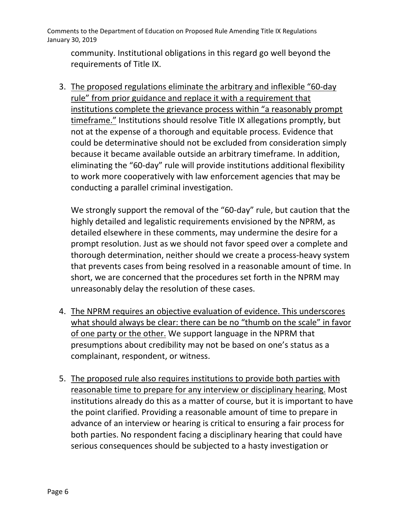community. Institutional obligations in this regard go well beyond the requirements of Title IX.

3. The proposed regulations eliminate the arbitrary and inflexible "60-day rule" from prior guidance and replace it with a requirement that institutions complete the grievance process within "a reasonably prompt timeframe." Institutions should resolve Title IX allegations promptly, but not at the expense of a thorough and equitable process. Evidence that could be determinative should not be excluded from consideration simply because it became available outside an arbitrary timeframe. In addition, eliminating the "60-day" rule will provide institutions additional flexibility to work more cooperatively with law enforcement agencies that may be conducting a parallel criminal investigation.

We strongly support the removal of the "60-day" rule, but caution that the highly detailed and legalistic requirements envisioned by the NPRM, as detailed elsewhere in these comments, may undermine the desire for a prompt resolution. Just as we should not favor speed over a complete and thorough determination, neither should we create a process-heavy system that prevents cases from being resolved in a reasonable amount of time. In short, we are concerned that the procedures set forth in the NPRM may unreasonably delay the resolution of these cases.

- 4. The NPRM requires an objective evaluation of evidence. This underscores what should always be clear: there can be no "thumb on the scale" in favor of one party or the other. We support language in the NPRM that presumptions about credibility may not be based on one's status as a complainant, respondent, or witness.
- 5. The proposed rule also requires institutions to provide both parties with reasonable time to prepare for any interview or disciplinary hearing. Most institutions already do this as a matter of course, but it is important to have the point clarified. Providing a reasonable amount of time to prepare in advance of an interview or hearing is critical to ensuring a fair process for both parties. No respondent facing a disciplinary hearing that could have serious consequences should be subjected to a hasty investigation or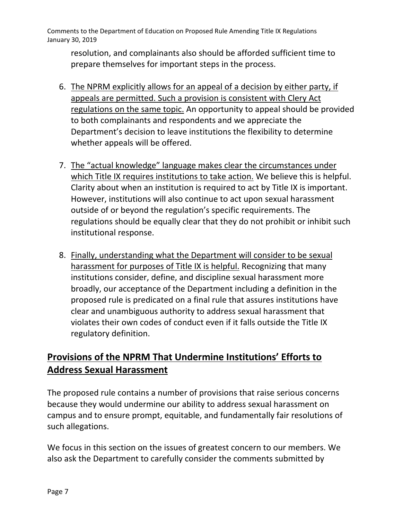resolution, and complainants also should be afforded sufficient time to prepare themselves for important steps in the process.

- 6. The NPRM explicitly allows for an appeal of a decision by either party, if appeals are permitted. Such a provision is consistent with Clery Act regulations on the same topic. An opportunity to appeal should be provided to both complainants and respondents and we appreciate the Department's decision to leave institutions the flexibility to determine whether appeals will be offered.
- 7. The "actual knowledge" language makes clear the circumstances under which Title IX requires institutions to take action. We believe this is helpful. Clarity about when an institution is required to act by Title IX is important. However, institutions will also continue to act upon sexual harassment outside of or beyond the regulation's specific requirements. The regulations should be equally clear that they do not prohibit or inhibit such institutional response.
- 8. Finally, understanding what the Department will consider to be sexual harassment for purposes of Title IX is helpful. Recognizing that many institutions consider, define, and discipline sexual harassment more broadly, our acceptance of the Department including a definition in the proposed rule is predicated on a final rule that assures institutions have clear and unambiguous authority to address sexual harassment that violates their own codes of conduct even if it falls outside the Title IX regulatory definition.

## **Provisions of the NPRM That Undermine Institutions' Efforts to Address Sexual Harassment**

The proposed rule contains a number of provisions that raise serious concerns because they would undermine our ability to address sexual harassment on campus and to ensure prompt, equitable, and fundamentally fair resolutions of such allegations.

We focus in this section on the issues of greatest concern to our members. We also ask the Department to carefully consider the comments submitted by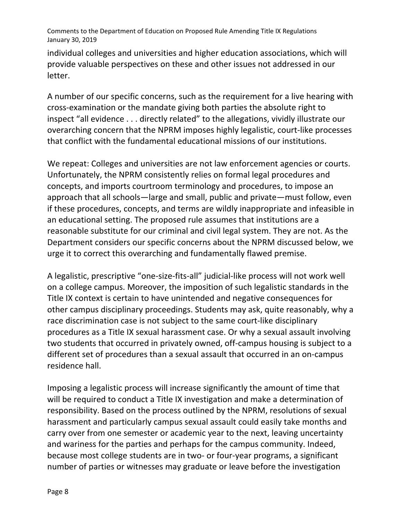individual colleges and universities and higher education associations, which will provide valuable perspectives on these and other issues not addressed in our letter.

A number of our specific concerns, such as the requirement for a live hearing with cross-examination or the mandate giving both parties the absolute right to inspect "all evidence . . . directly related" to the allegations, vividly illustrate our overarching concern that the NPRM imposes highly legalistic, court-like processes that conflict with the fundamental educational missions of our institutions.

We repeat: Colleges and universities are not law enforcement agencies or courts. Unfortunately, the NPRM consistently relies on formal legal procedures and concepts, and imports courtroom terminology and procedures, to impose an approach that all schools—large and small, public and private—must follow, even if these procedures, concepts, and terms are wildly inappropriate and infeasible in an educational setting. The proposed rule assumes that institutions are a reasonable substitute for our criminal and civil legal system. They are not. As the Department considers our specific concerns about the NPRM discussed below, we urge it to correct this overarching and fundamentally flawed premise.

A legalistic, prescriptive "one-size-fits-all" judicial-like process will not work well on a college campus. Moreover, the imposition of such legalistic standards in the Title IX context is certain to have unintended and negative consequences for other campus disciplinary proceedings. Students may ask, quite reasonably, why a race discrimination case is not subject to the same court-like disciplinary procedures as a Title IX sexual harassment case. Or why a sexual assault involving two students that occurred in privately owned, off-campus housing is subject to a different set of procedures than a sexual assault that occurred in an on-campus residence hall.

Imposing a legalistic process will increase significantly the amount of time that will be required to conduct a Title IX investigation and make a determination of responsibility. Based on the process outlined by the NPRM, resolutions of sexual harassment and particularly campus sexual assault could easily take months and carry over from one semester or academic year to the next, leaving uncertainty and wariness for the parties and perhaps for the campus community. Indeed, because most college students are in two- or four-year programs, a significant number of parties or witnesses may graduate or leave before the investigation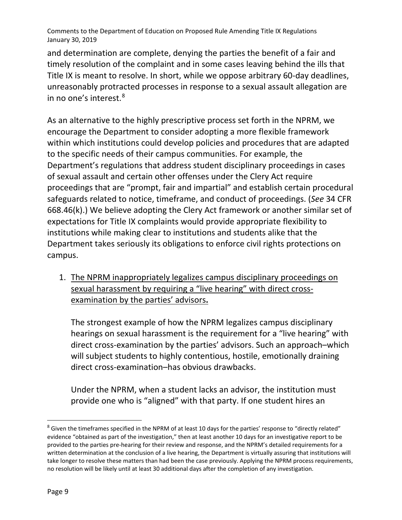and determination are complete, denying the parties the benefit of a fair and timely resolution of the complaint and in some cases leaving behind the ills that Title IX is meant to resolve. In short, while we oppose arbitrary 60-day deadlines, unreasonably protracted processes in response to a sexual assault allegation are in no one's interest.<sup>[8](#page-8-0)</sup>

As an alternative to the highly prescriptive process set forth in the NPRM, we encourage the Department to consider adopting a more flexible framework within which institutions could develop policies and procedures that are adapted to the specific needs of their campus communities. For example, the Department's regulations that address student disciplinary proceedings in cases of sexual assault and certain other offenses under the Clery Act require proceedings that are "prompt, fair and impartial" and establish certain procedural safeguards related to notice, timeframe, and conduct of proceedings. (*See* 34 CFR 668.46(k).) We believe adopting the Clery Act framework or another similar set of expectations for Title IX complaints would provide appropriate flexibility to institutions while making clear to institutions and students alike that the Department takes seriously its obligations to enforce civil rights protections on campus.

1. The NPRM inappropriately legalizes campus disciplinary proceedings on sexual harassment by requiring a "live hearing" with direct crossexamination by the parties' advisors**.** 

The strongest example of how the NPRM legalizes campus disciplinary hearings on sexual harassment is the requirement for a "live hearing" with direct cross-examination by the parties' advisors. Such an approach–which will subject students to highly contentious, hostile, emotionally draining direct cross-examination–has obvious drawbacks.

Under the NPRM, when a student lacks an advisor, the institution must provide one who is "aligned" with that party. If one student hires an

<span id="page-8-0"></span><sup>&</sup>lt;sup>8</sup> Given the timeframes specified in the NPRM of at least 10 days for the parties' response to "directly related" evidence "obtained as part of the investigation," then at least another 10 days for an investigative report to be provided to the parties pre-hearing for their review and response, and the NPRM's detailed requirements for a written determination at the conclusion of a live hearing, the Department is virtually assuring that institutions will take longer to resolve these matters than had been the case previously. Applying the NPRM process requirements, no resolution will be likely until at least 30 additional days after the completion of any investigation.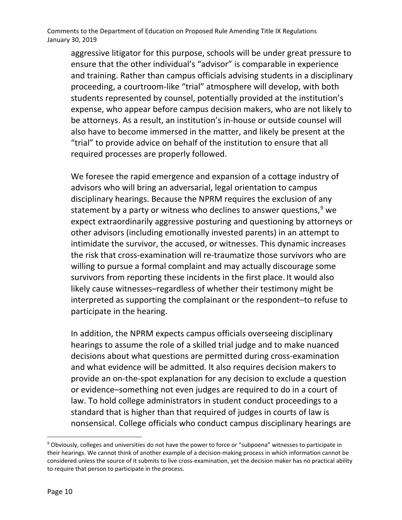aggressive litigator for this purpose, schools will be under great pressure to ensure that the other individual's "advisor" is comparable in experience and training. Rather than campus officials advising students in a disciplinary proceeding, a courtroom-like "trial" atmosphere will develop, with both students represented by counsel, potentially provided at the institution's expense, who appear before campus decision makers, who are not likely to be attorneys. As a result, an institution's in-house or outside counsel will also have to become immersed in the matter, and likely be present at the "trial" to provide advice on behalf of the institution to ensure that all required processes are properly followed.

We foresee the rapid emergence and expansion of a cottage industry of advisors who will bring an adversarial, legal orientation to campus disciplinary hearings. Because the NPRM requires the exclusion of any statement by a party or witness who declines to answer questions,  $9$  we expect extraordinarily aggressive posturing and questioning by attorneys or other advisors (including emotionally invested parents) in an attempt to intimidate the survivor, the accused, or witnesses. This dynamic increases the risk that cross-examination will re-traumatize those survivors who are willing to pursue a formal complaint and may actually discourage some survivors from reporting these incidents in the first place. It would also likely cause witnesses–regardless of whether their testimony might be interpreted as supporting the complainant or the respondent–to refuse to participate in the hearing.

In addition, the NPRM expects campus officials overseeing disciplinary hearings to assume the role of a skilled trial judge and to make nuanced decisions about what questions are permitted during cross-examination and what evidence will be admitted. It also requires decision makers to provide an on-the-spot explanation for any decision to exclude a question or evidence–something not even judges are required to do in a court of law. To hold college administrators in student conduct proceedings to a standard that is higher than that required of judges in courts of law is nonsensical. College officials who conduct campus disciplinary hearings are

<span id="page-9-0"></span><sup>9</sup> Obviously, colleges and universities do not have the power to force or "subpoena" witnesses to participate in their hearings. We cannot think of another example of a decision-making process in which information cannot be considered unless the source of it submits to live cross-examination, yet the decision maker has no practical ability to require that person to participate in the process.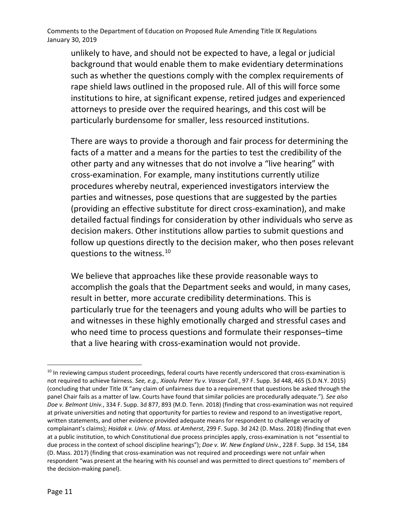unlikely to have, and should not be expected to have, a legal or judicial background that would enable them to make evidentiary determinations such as whether the questions comply with the complex requirements of rape shield laws outlined in the proposed rule. All of this will force some institutions to hire, at significant expense, retired judges and experienced attorneys to preside over the required hearings, and this cost will be particularly burdensome for smaller, less resourced institutions.

There are ways to provide a thorough and fair process for determining the facts of a matter and a means for the parties to test the credibility of the other party and any witnesses that do not involve a "live hearing" with cross-examination. For example, many institutions currently utilize procedures whereby neutral, experienced investigators interview the parties and witnesses, pose questions that are suggested by the parties (providing an effective substitute for direct cross-examination), and make detailed factual findings for consideration by other individuals who serve as decision makers. Other institutions allow parties to submit questions and follow up questions directly to the decision maker, who then poses relevant questions to the witness.[10](#page-10-0)

We believe that approaches like these provide reasonable ways to accomplish the goals that the Department seeks and would, in many cases, result in better, more accurate credibility determinations. This is particularly true for the teenagers and young adults who will be parties to and witnesses in these highly emotionally charged and stressful cases and who need time to process questions and formulate their responses–time that a live hearing with cross-examination would not provide.

<span id="page-10-0"></span><sup>&</sup>lt;sup>10</sup> In reviewing campus student proceedings, federal courts have recently underscored that cross-examination is not required to achieve fairness. *See, e.g., Xiaolu Peter Yu v. Vassar Coll.*, 97 F. Supp. 3d 448, 465 (S.D.N.Y. 2015) (concluding that under Title IX "any claim of unfairness due to a requirement that questions be asked through the panel Chair fails as a matter of law. Courts have found that similar policies are procedurally adequate."). *See also Doe v. Belmont Univ.*, 334 F. Supp. 3d 877, 893 (M.D. Tenn. 2018) (finding that cross-examination was not required at private universities and noting that opportunity for parties to review and respond to an investigative report, written statements, and other evidence provided adequate means for respondent to challenge veracity of complainant's claims); *Haidak v. Univ. of Mass. at Amherst*, 299 F. Supp. 3d 242 (D. Mass. 2018) (finding that even at a public institution, to which Constitutional due process principles apply, cross-examination is not "essential to due process in the context of school discipline hearings"); *Doe v. W. New England Univ.*, 228 F. Supp. 3d 154, 184 (D. Mass. 2017) (finding that cross-examination was not required and proceedings were not unfair when respondent "was present at the hearing with his counsel and was permitted to direct questions to" members of the decision-making panel).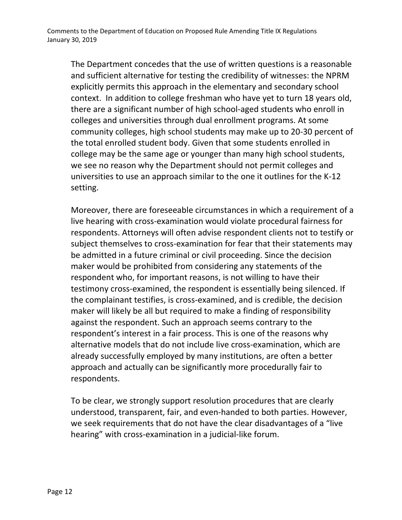The Department concedes that the use of written questions is a reasonable and sufficient alternative for testing the credibility of witnesses: the NPRM explicitly permits this approach in the elementary and secondary school context. In addition to college freshman who have yet to turn 18 years old, there are a significant number of high school-aged students who enroll in colleges and universities through dual enrollment programs. At some community colleges, high school students may make up to 20-30 percent of the total enrolled student body. Given that some students enrolled in college may be the same age or younger than many high school students, we see no reason why the Department should not permit colleges and universities to use an approach similar to the one it outlines for the K-12 setting.

Moreover, there are foreseeable circumstances in which a requirement of a live hearing with cross-examination would violate procedural fairness for respondents. Attorneys will often advise respondent clients not to testify or subject themselves to cross-examination for fear that their statements may be admitted in a future criminal or civil proceeding. Since the decision maker would be prohibited from considering any statements of the respondent who, for important reasons, is not willing to have their testimony cross-examined, the respondent is essentially being silenced. If the complainant testifies, is cross-examined, and is credible, the decision maker will likely be all but required to make a finding of responsibility against the respondent. Such an approach seems contrary to the respondent's interest in a fair process. This is one of the reasons why alternative models that do not include live cross-examination, which are already successfully employed by many institutions, are often a better approach and actually can be significantly more procedurally fair to respondents.

To be clear, we strongly support resolution procedures that are clearly understood, transparent, fair, and even-handed to both parties. However, we seek requirements that do not have the clear disadvantages of a "live hearing" with cross-examination in a judicial-like forum.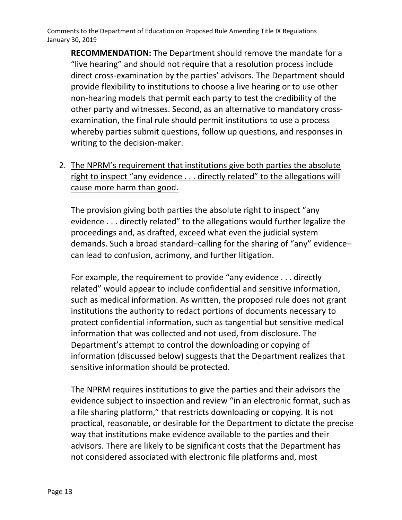**RECOMMENDATION:** The Department should remove the mandate for a "live hearing" and should not require that a resolution process include direct cross-examination by the parties' advisors. The Department should provide flexibility to institutions to choose a live hearing or to use other non-hearing models that permit each party to test the credibility of the other party and witnesses. Second, as an alternative to mandatory crossexamination, the final rule should permit institutions to use a process whereby parties submit questions, follow up questions, and responses in writing to the decision-maker.

2. The NPRM's requirement that institutions give both parties the absolute right to inspect "any evidence . . . directly related" to the allegations will cause more harm than good.

The provision giving both parties the absolute right to inspect "any evidence . . . directly related" to the allegations would further legalize the proceedings and, as drafted, exceed what even the judicial system demands. Such a broad standard–calling for the sharing of "any" evidence– can lead to confusion, acrimony, and further litigation.

For example, the requirement to provide "any evidence . . . directly related" would appear to include confidential and sensitive information, such as medical information. As written, the proposed rule does not grant institutions the authority to redact portions of documents necessary to protect confidential information, such as tangential but sensitive medical information that was collected and not used, from disclosure. The Department's attempt to control the downloading or copying of information (discussed below) suggests that the Department realizes that sensitive information should be protected.

The NPRM requires institutions to give the parties and their advisors the evidence subject to inspection and review "in an electronic format, such as a file sharing platform," that restricts downloading or copying. It is not practical, reasonable, or desirable for the Department to dictate the precise way that institutions make evidence available to the parties and their advisors. There are likely to be significant costs that the Department has not considered associated with electronic file platforms and, most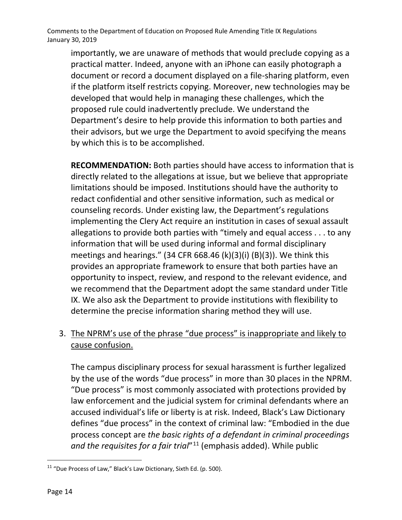importantly, we are unaware of methods that would preclude copying as a practical matter. Indeed, anyone with an iPhone can easily photograph a document or record a document displayed on a file-sharing platform, even if the platform itself restricts copying. Moreover, new technologies may be developed that would help in managing these challenges, which the proposed rule could inadvertently preclude. We understand the Department's desire to help provide this information to both parties and their advisors, but we urge the Department to avoid specifying the means by which this is to be accomplished.

**RECOMMENDATION:** Both parties should have access to information that is directly related to the allegations at issue, but we believe that appropriate limitations should be imposed. Institutions should have the authority to redact confidential and other sensitive information, such as medical or counseling records. Under existing law, the Department's regulations implementing the Clery Act require an institution in cases of sexual assault allegations to provide both parties with "timely and equal access . . . to any information that will be used during informal and formal disciplinary meetings and hearings." (34 CFR 668.46 (k)(3)(i) (B)(3)). We think this provides an appropriate framework to ensure that both parties have an opportunity to inspect, review, and respond to the relevant evidence, and we recommend that the Department adopt the same standard under Title IX. We also ask the Department to provide institutions with flexibility to determine the precise information sharing method they will use.

## 3. The NPRM's use of the phrase "due process" is inappropriate and likely to cause confusion.

The campus disciplinary process for sexual harassment is further legalized by the use of the words "due process" in more than 30 places in the NPRM. "Due process" is most commonly associated with protections provided by law enforcement and the judicial system for criminal defendants where an accused individual's life or liberty is at risk. Indeed, Black's Law Dictionary defines "due process" in the context of criminal law: "Embodied in the due process concept are *the basic rights of a defendant in criminal proceedings and the requisites for a fair trial*"<sup>[11](#page-13-0)</sup> (emphasis added). While public

<span id="page-13-0"></span> $11$  "Due Process of Law," Black's Law Dictionary, Sixth Ed. (p. 500).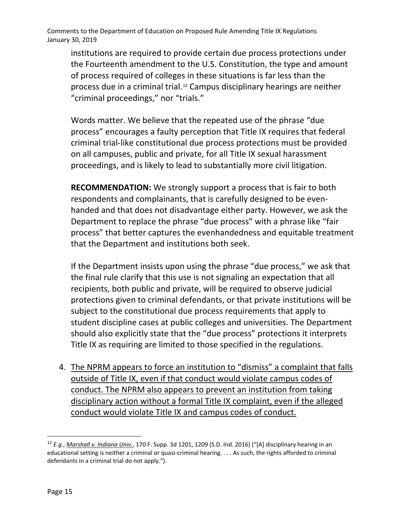institutions are required to provide certain due process protections under the Fourteenth amendment to the U.S. Constitution, the type and amount of process required of colleges in these situations is far less than the process due in a criminal trial.<sup>[12](#page-14-0)</sup> Campus disciplinary hearings are neither "criminal proceedings," nor "trials."

Words matter. We believe that the repeated use of the phrase "due process" encourages a faulty perception that Title IX requires that federal criminal trial-like constitutional due process protections must be provided on all campuses, public and private, for all Title IX sexual harassment proceedings, and is likely to lead to substantially more civil litigation.

**RECOMMENDATION:** We strongly support a process that is fair to both respondents and complainants, that is carefully designed to be evenhanded and that does not disadvantage either party. However, we ask the Department to replace the phrase "due process" with a phrase like "fair process" that better captures the evenhandedness and equitable treatment that the Department and institutions both seek.

If the Department insists upon using the phrase "due process," we ask that the final rule clarify that this use is not signaling an expectation that all recipients, both public and private, will be required to observe judicial protections given to criminal defendants, or that private institutions will be subject to the constitutional due process requirements that apply to student discipline cases at public colleges and universities. The Department should also explicitly state that the "due process" protections it interprets Title IX as requiring are limited to those specified in the regulations.

4. The NPRM appears to force an institution to "dismiss" a complaint that falls outside of Title IX, even if that conduct would violate campus codes of conduct. The NPRM also appears to prevent an institution from taking disciplinary action without a formal Title IX complaint, even if the alleged conduct would violate Title IX and campus codes of conduct.

<span id="page-14-0"></span><sup>12</sup> *E.g.*, *Marshall v. Indiana Univ.*, 170 F. Supp. 3d 1201, 1209 (S.D. Ind. 2016) ("[A] disciplinary hearing in an educational setting is neither a criminal or quasi-criminal hearing. . . . As such, the rights afforded to criminal defendants in a criminal trial do not apply.").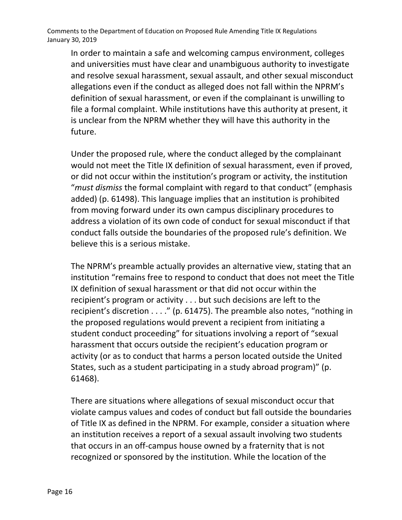In order to maintain a safe and welcoming campus environment, colleges and universities must have clear and unambiguous authority to investigate and resolve sexual harassment, sexual assault, and other sexual misconduct allegations even if the conduct as alleged does not fall within the NPRM's definition of sexual harassment, or even if the complainant is unwilling to file a formal complaint. While institutions have this authority at present, it is unclear from the NPRM whether they will have this authority in the future.

Under the proposed rule, where the conduct alleged by the complainant would not meet the Title IX definition of sexual harassment, even if proved, or did not occur within the institution's program or activity, the institution "*must dismiss* the formal complaint with regard to that conduct" (emphasis added) (p. 61498). This language implies that an institution is prohibited from moving forward under its own campus disciplinary procedures to address a violation of its own code of conduct for sexual misconduct if that conduct falls outside the boundaries of the proposed rule's definition. We believe this is a serious mistake.

The NPRM's preamble actually provides an alternative view, stating that an institution "remains free to respond to conduct that does not meet the Title IX definition of sexual harassment or that did not occur within the recipient's program or activity . . . but such decisions are left to the recipient's discretion . . . ." (p. 61475). The preamble also notes, "nothing in the proposed regulations would prevent a recipient from initiating a student conduct proceeding" for situations involving a report of "sexual harassment that occurs outside the recipient's education program or activity (or as to conduct that harms a person located outside the United States, such as a student participating in a study abroad program)" (p. 61468).

There are situations where allegations of sexual misconduct occur that violate campus values and codes of conduct but fall outside the boundaries of Title IX as defined in the NPRM. For example, consider a situation where an institution receives a report of a sexual assault involving two students that occurs in an off-campus house owned by a fraternity that is not recognized or sponsored by the institution. While the location of the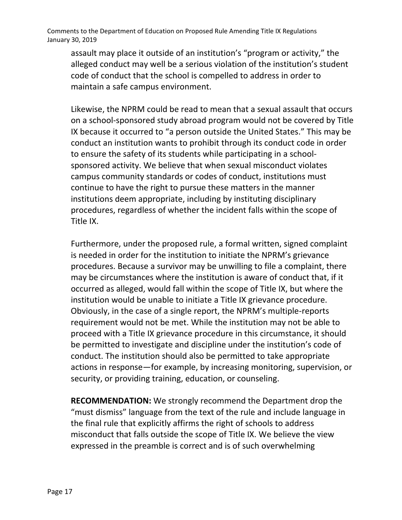assault may place it outside of an institution's "program or activity," the alleged conduct may well be a serious violation of the institution's student code of conduct that the school is compelled to address in order to maintain a safe campus environment.

Likewise, the NPRM could be read to mean that a sexual assault that occurs on a school-sponsored study abroad program would not be covered by Title IX because it occurred to "a person outside the United States." This may be conduct an institution wants to prohibit through its conduct code in order to ensure the safety of its students while participating in a schoolsponsored activity. We believe that when sexual misconduct violates campus community standards or codes of conduct, institutions must continue to have the right to pursue these matters in the manner institutions deem appropriate, including by instituting disciplinary procedures, regardless of whether the incident falls within the scope of Title IX.

Furthermore, under the proposed rule, a formal written, signed complaint is needed in order for the institution to initiate the NPRM's grievance procedures. Because a survivor may be unwilling to file a complaint, there may be circumstances where the institution is aware of conduct that, if it occurred as alleged, would fall within the scope of Title IX, but where the institution would be unable to initiate a Title IX grievance procedure. Obviously, in the case of a single report, the NPRM's multiple-reports requirement would not be met. While the institution may not be able to proceed with a Title IX grievance procedure in this circumstance, it should be permitted to investigate and discipline under the institution's code of conduct. The institution should also be permitted to take appropriate actions in response—for example, by increasing monitoring, supervision, or security, or providing training, education, or counseling.

**RECOMMENDATION:** We strongly recommend the Department drop the "must dismiss" language from the text of the rule and include language in the final rule that explicitly affirms the right of schools to address misconduct that falls outside the scope of Title IX. We believe the view expressed in the preamble is correct and is of such overwhelming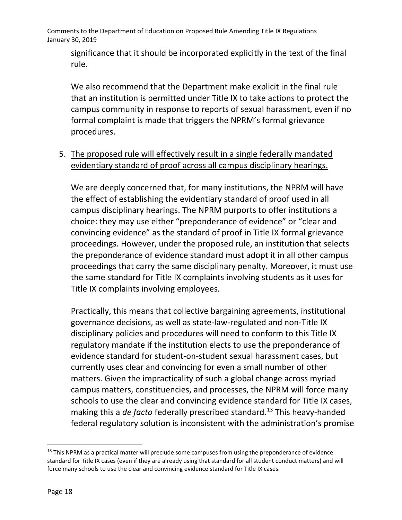significance that it should be incorporated explicitly in the text of the final rule.

We also recommend that the Department make explicit in the final rule that an institution is permitted under Title IX to take actions to protect the campus community in response to reports of sexual harassment, even if no formal complaint is made that triggers the NPRM's formal grievance procedures.

### 5. The proposed rule will effectively result in a single federally mandated evidentiary standard of proof across all campus disciplinary hearings.

We are deeply concerned that, for many institutions, the NPRM will have the effect of establishing the evidentiary standard of proof used in all campus disciplinary hearings. The NPRM purports to offer institutions a choice: they may use either "preponderance of evidence" or "clear and convincing evidence" as the standard of proof in Title IX formal grievance proceedings. However, under the proposed rule, an institution that selects the preponderance of evidence standard must adopt it in all other campus proceedings that carry the same disciplinary penalty. Moreover, it must use the same standard for Title IX complaints involving students as it uses for Title IX complaints involving employees.

Practically, this means that collective bargaining agreements, institutional governance decisions, as well as state-law-regulated and non-Title IX disciplinary policies and procedures will need to conform to this Title IX regulatory mandate if the institution elects to use the preponderance of evidence standard for student-on-student sexual harassment cases, but currently uses clear and convincing for even a small number of other matters. Given the impracticality of such a global change across myriad campus matters, constituencies, and processes, the NPRM will force many schools to use the clear and convincing evidence standard for Title IX cases, making this a *de facto* federally prescribed standard.<sup>[13](#page-17-0)</sup> This heavy-handed federal regulatory solution is inconsistent with the administration's promise

<span id="page-17-0"></span><sup>&</sup>lt;sup>13</sup> This NPRM as a practical matter will preclude some campuses from using the preponderance of evidence standard for Title IX cases (even if they are already using that standard for all student conduct matters) and will force many schools to use the clear and convincing evidence standard for Title IX cases.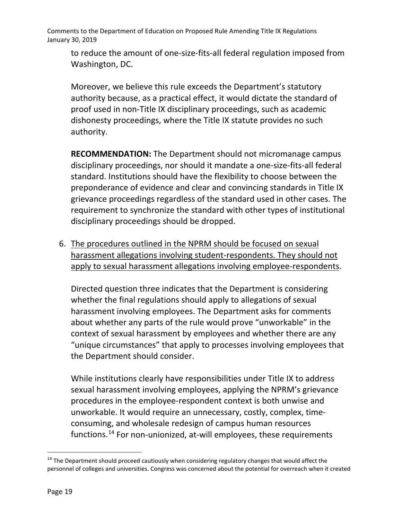to reduce the amount of one-size-fits-all federal regulation imposed from Washington, DC.

Moreover, we believe this rule exceeds the Department's statutory authority because, as a practical effect, it would dictate the standard of proof used in non-Title IX disciplinary proceedings, such as academic dishonesty proceedings, where the Title IX statute provides no such authority.

**RECOMMENDATION:** The Department should not micromanage campus disciplinary proceedings, nor should it mandate a one-size-fits-all federal standard. Institutions should have the flexibility to choose between the preponderance of evidence and clear and convincing standards in Title IX grievance proceedings regardless of the standard used in other cases. The requirement to synchronize the standard with other types of institutional disciplinary proceedings should be dropped.

6. The procedures outlined in the NPRM should be focused on sexual harassment allegations involving student-respondents. They should not apply to sexual harassment allegations involving employee-respondents.

Directed question three indicates that the Department is considering whether the final regulations should apply to allegations of sexual harassment involving employees. The Department asks for comments about whether any parts of the rule would prove "unworkable" in the context of sexual harassment by employees and whether there are any "unique circumstances" that apply to processes involving employees that the Department should consider.

While institutions clearly have responsibilities under Title IX to address sexual harassment involving employees, applying the NPRM's grievance procedures in the employee-respondent context is both unwise and unworkable. It would require an unnecessary, costly, complex, timeconsuming, and wholesale redesign of campus human resources functions.[14](#page-18-0) For non-unionized, at-will employees, these requirements

<span id="page-18-0"></span><sup>&</sup>lt;sup>14</sup> The Department should proceed cautiously when considering regulatory changes that would affect the personnel of colleges and universities. Congress was concerned about the potential for overreach when it created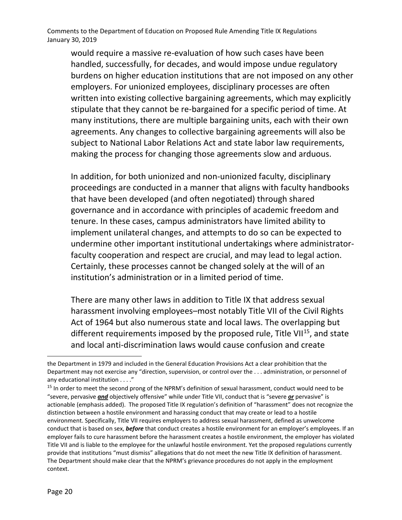would require a massive re-evaluation of how such cases have been handled, successfully, for decades, and would impose undue regulatory burdens on higher education institutions that are not imposed on any other employers. For unionized employees, disciplinary processes are often written into existing collective bargaining agreements, which may explicitly stipulate that they cannot be re-bargained for a specific period of time. At many institutions, there are multiple bargaining units, each with their own agreements. Any changes to collective bargaining agreements will also be subject to National Labor Relations Act and state labor law requirements, making the process for changing those agreements slow and arduous.

In addition, for both unionized and non-unionized faculty, disciplinary proceedings are conducted in a manner that aligns with faculty handbooks that have been developed (and often negotiated) through shared governance and in accordance with principles of academic freedom and tenure. In these cases, campus administrators have limited ability to implement unilateral changes, and attempts to do so can be expected to undermine other important institutional undertakings where administratorfaculty cooperation and respect are crucial, and may lead to legal action. Certainly, these processes cannot be changed solely at the will of an institution's administration or in a limited period of time.

There are many other laws in addition to Title IX that address sexual harassment involving employees–most notably Title VII of the Civil Rights Act of 1964 but also numerous state and local laws. The overlapping but different requirements imposed by the proposed rule, Title VII $^{15}$ , and state and local anti-discrimination laws would cause confusion and create

the Department in 1979 and included in the General Education Provisions Act a clear prohibition that the Department may not exercise any "direction, supervision, or control over the . . . administration, or personnel of any educational institution . . . ."

<span id="page-19-0"></span><sup>&</sup>lt;sup>15</sup> In order to meet the second prong of the NPRM's definition of sexual harassment, conduct would need to be "severe, pervasive *and* objectively offensive" while under Title VII, conduct that is "severe *or* pervasive" is actionable (emphasis added). The proposed Title IX regulation's definition of "harassment" does not recognize the distinction between a hostile environment and harassing conduct that may create or lead to a hostile environment. Specifically, Title VII requires employers to address sexual harassment, defined as unwelcome conduct that is based on sex, *before* that conduct creates a hostile environment for an employer's employees. If an employer fails to cure harassment before the harassment creates a hostile environment, the employer has violated Title VII and is liable to the employee for the unlawful hostile environment. Yet the proposed regulations currently provide that institutions "must dismiss" allegations that do not meet the new Title IX definition of harassment. The Department should make clear that the NPRM's grievance procedures do not apply in the employment context.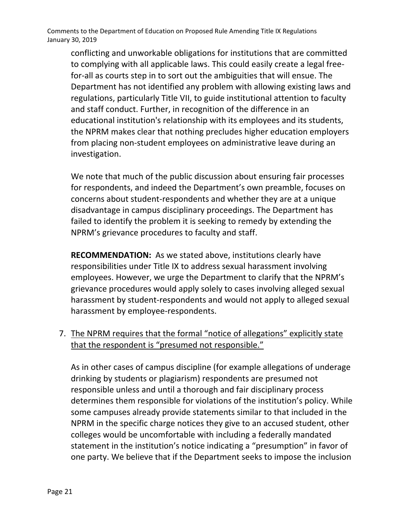conflicting and unworkable obligations for institutions that are committed to complying with all applicable laws. This could easily create a legal freefor-all as courts step in to sort out the ambiguities that will ensue. The Department has not identified any problem with allowing existing laws and regulations, particularly Title VII, to guide institutional attention to faculty and staff conduct. Further, in recognition of the difference in an educational institution's relationship with its employees and its students, the NPRM makes clear that nothing precludes higher education employers from placing non-student employees on administrative leave during an investigation.

We note that much of the public discussion about ensuring fair processes for respondents, and indeed the Department's own preamble, focuses on concerns about student-respondents and whether they are at a unique disadvantage in campus disciplinary proceedings. The Department has failed to identify the problem it is seeking to remedy by extending the NPRM's grievance procedures to faculty and staff.

**RECOMMENDATION:** As we stated above, institutions clearly have responsibilities under Title IX to address sexual harassment involving employees. However, we urge the Department to clarify that the NPRM's grievance procedures would apply solely to cases involving alleged sexual harassment by student-respondents and would not apply to alleged sexual harassment by employee-respondents.

7. The NPRM requires that the formal "notice of allegations" explicitly state that the respondent is "presumed not responsible."

As in other cases of campus discipline (for example allegations of underage drinking by students or plagiarism) respondents are presumed not responsible unless and until a thorough and fair disciplinary process determines them responsible for violations of the institution's policy. While some campuses already provide statements similar to that included in the NPRM in the specific charge notices they give to an accused student, other colleges would be uncomfortable with including a federally mandated statement in the institution's notice indicating a "presumption" in favor of one party. We believe that if the Department seeks to impose the inclusion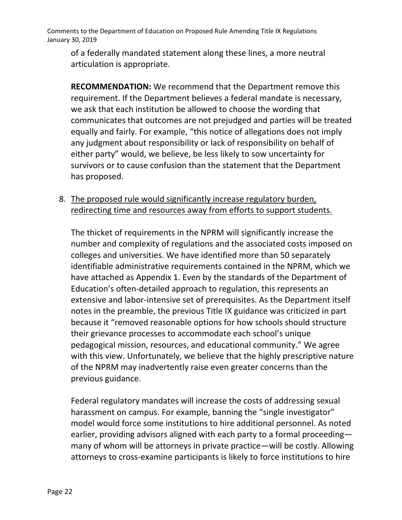of a federally mandated statement along these lines, a more neutral articulation is appropriate.

**RECOMMENDATION:** We recommend that the Department remove this requirement. If the Department believes a federal mandate is necessary, we ask that each institution be allowed to choose the wording that communicates that outcomes are not prejudged and parties will be treated equally and fairly. For example, "this notice of allegations does not imply any judgment about responsibility or lack of responsibility on behalf of either party" would, we believe, be less likely to sow uncertainty for survivors or to cause confusion than the statement that the Department has proposed.

### 8. The proposed rule would significantly increase regulatory burden, redirecting time and resources away from efforts to support students.

The thicket of requirements in the NPRM will significantly increase the number and complexity of regulations and the associated costs imposed on colleges and universities. We have identified more than 50 separately identifiable administrative requirements contained in the NPRM, which we have attached as Appendix 1. Even by the standards of the Department of Education's often-detailed approach to regulation, this represents an extensive and labor-intensive set of prerequisites. As the Department itself notes in the preamble, the previous Title IX guidance was criticized in part because it "removed reasonable options for how schools should structure their grievance processes to accommodate each school's unique pedagogical mission, resources, and educational community." We agree with this view. Unfortunately, we believe that the highly prescriptive nature of the NPRM may inadvertently raise even greater concerns than the previous guidance.

Federal regulatory mandates will increase the costs of addressing sexual harassment on campus. For example, banning the "single investigator" model would force some institutions to hire additional personnel. As noted earlier, providing advisors aligned with each party to a formal proceeding many of whom will be attorneys in private practice—will be costly. Allowing attorneys to cross-examine participants is likely to force institutions to hire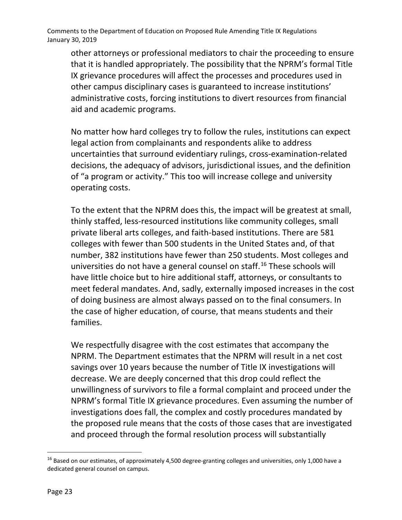other attorneys or professional mediators to chair the proceeding to ensure that it is handled appropriately. The possibility that the NPRM's formal Title IX grievance procedures will affect the processes and procedures used in other campus disciplinary cases is guaranteed to increase institutions' administrative costs, forcing institutions to divert resources from financial aid and academic programs.

No matter how hard colleges try to follow the rules, institutions can expect legal action from complainants and respondents alike to address uncertainties that surround evidentiary rulings, cross-examination-related decisions, the adequacy of advisors, jurisdictional issues, and the definition of "a program or activity." This too will increase college and university operating costs.

To the extent that the NPRM does this, the impact will be greatest at small, thinly staffed, less-resourced institutions like community colleges, small private liberal arts colleges, and faith-based institutions. There are 581 colleges with fewer than 500 students in the United States and, of that number, 382 institutions have fewer than 250 students. Most colleges and universities do not have a general counsel on staff.<sup>[16](#page-22-0)</sup> These schools will have little choice but to hire additional staff, attorneys, or consultants to meet federal mandates. And, sadly, externally imposed increases in the cost of doing business are almost always passed on to the final consumers. In the case of higher education, of course, that means students and their families.

We respectfully disagree with the cost estimates that accompany the NPRM. The Department estimates that the NPRM will result in a net cost savings over 10 years because the number of Title IX investigations will decrease. We are deeply concerned that this drop could reflect the unwillingness of survivors to file a formal complaint and proceed under the NPRM's formal Title IX grievance procedures. Even assuming the number of investigations does fall, the complex and costly procedures mandated by the proposed rule means that the costs of those cases that are investigated and proceed through the formal resolution process will substantially

<span id="page-22-0"></span><sup>&</sup>lt;sup>16</sup> Based on our estimates, of approximately 4,500 degree-granting colleges and universities, only 1,000 have a dedicated general counsel on campus.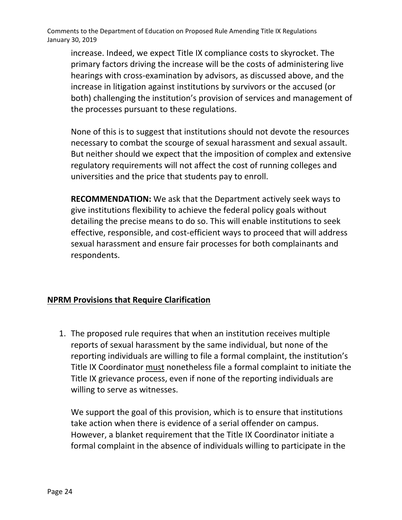increase. Indeed, we expect Title IX compliance costs to skyrocket. The primary factors driving the increase will be the costs of administering live hearings with cross-examination by advisors, as discussed above, and the increase in litigation against institutions by survivors or the accused (or both) challenging the institution's provision of services and management of the processes pursuant to these regulations.

None of this is to suggest that institutions should not devote the resources necessary to combat the scourge of sexual harassment and sexual assault. But neither should we expect that the imposition of complex and extensive regulatory requirements will not affect the cost of running colleges and universities and the price that students pay to enroll.

**RECOMMENDATION:** We ask that the Department actively seek ways to give institutions flexibility to achieve the federal policy goals without detailing the precise means to do so. This will enable institutions to seek effective, responsible, and cost-efficient ways to proceed that will address sexual harassment and ensure fair processes for both complainants and respondents.

#### **NPRM Provisions that Require Clarification**

1. The proposed rule requires that when an institution receives multiple reports of sexual harassment by the same individual, but none of the reporting individuals are willing to file a formal complaint, the institution's Title IX Coordinator must nonetheless file a formal complaint to initiate the Title IX grievance process, even if none of the reporting individuals are willing to serve as witnesses.

We support the goal of this provision, which is to ensure that institutions take action when there is evidence of a serial offender on campus. However, a blanket requirement that the Title IX Coordinator initiate a formal complaint in the absence of individuals willing to participate in the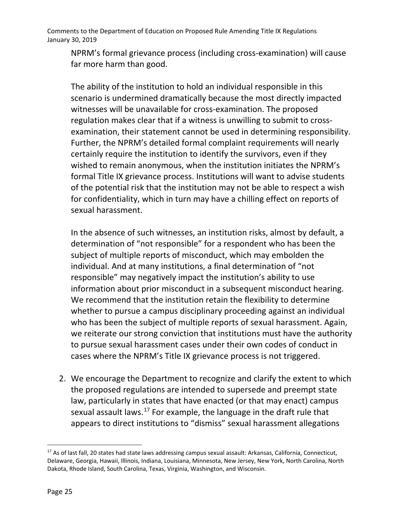NPRM's formal grievance process (including cross-examination) will cause far more harm than good.

The ability of the institution to hold an individual responsible in this scenario is undermined dramatically because the most directly impacted witnesses will be unavailable for cross-examination. The proposed regulation makes clear that if a witness is unwilling to submit to crossexamination, their statement cannot be used in determining responsibility. Further, the NPRM's detailed formal complaint requirements will nearly certainly require the institution to identify the survivors, even if they wished to remain anonymous, when the institution initiates the NPRM's formal Title IX grievance process. Institutions will want to advise students of the potential risk that the institution may not be able to respect a wish for confidentiality, which in turn may have a chilling effect on reports of sexual harassment.

In the absence of such witnesses, an institution risks, almost by default, a determination of "not responsible" for a respondent who has been the subject of multiple reports of misconduct, which may embolden the individual. And at many institutions, a final determination of "not responsible" may negatively impact the institution's ability to use information about prior misconduct in a subsequent misconduct hearing. We recommend that the institution retain the flexibility to determine whether to pursue a campus disciplinary proceeding against an individual who has been the subject of multiple reports of sexual harassment. Again, we reiterate our strong conviction that institutions must have the authority to pursue sexual harassment cases under their own codes of conduct in cases where the NPRM's Title IX grievance process is not triggered.

2. We encourage the Department to recognize and clarify the extent to which the proposed regulations are intended to supersede and preempt state law, particularly in states that have enacted (or that may enact) campus sexual assault laws. $^{17}$  $^{17}$  $^{17}$  For example, the language in the draft rule that appears to direct institutions to "dismiss" sexual harassment allegations

<span id="page-24-0"></span> $\overline{a}$ <sup>17</sup> As of last fall, 20 states had state laws addressing campus sexual assault: Arkansas, California, Connecticut, Delaware, Georgia, Hawaii, Illinois, Indiana, Louisiana, Minnesota, New Jersey, New York, North Carolina, North Dakota, Rhode Island, South Carolina, Texas, Virginia, Washington, and Wisconsin.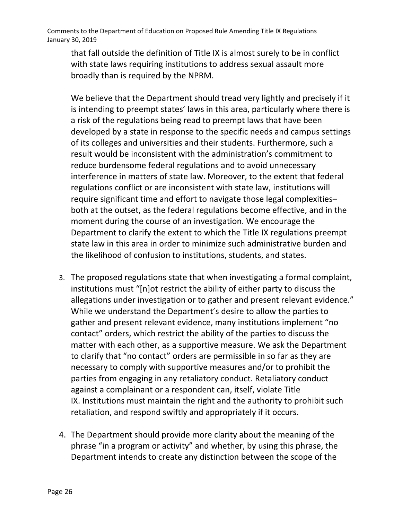that fall outside the definition of Title IX is almost surely to be in conflict with state laws requiring institutions to address sexual assault more broadly than is required by the NPRM.

We believe that the Department should tread very lightly and precisely if it is intending to preempt states' laws in this area, particularly where there is a risk of the regulations being read to preempt laws that have been developed by a state in response to the specific needs and campus settings of its colleges and universities and their students. Furthermore, such a result would be inconsistent with the administration's commitment to reduce burdensome federal regulations and to avoid unnecessary interference in matters of state law. Moreover, to the extent that federal regulations conflict or are inconsistent with state law, institutions will require significant time and effort to navigate those legal complexities– both at the outset, as the federal regulations become effective, and in the moment during the course of an investigation. We encourage the Department to clarify the extent to which the Title IX regulations preempt state law in this area in order to minimize such administrative burden and the likelihood of confusion to institutions, students, and states.

- 3. The proposed regulations state that when investigating a formal complaint, institutions must "[n]ot restrict the ability of either party to discuss the allegations under investigation or to gather and present relevant evidence." While we understand the Department's desire to allow the parties to gather and present relevant evidence, many institutions implement "no contact" orders, which restrict the ability of the parties to discuss the matter with each other, as a supportive measure. We ask the Department to clarify that "no contact" orders are permissible in so far as they are necessary to comply with supportive measures and/or to prohibit the parties from engaging in any retaliatory conduct. Retaliatory conduct against a complainant or a respondent can, itself, violate Title IX. Institutions must maintain the right and the authority to prohibit such retaliation, and respond swiftly and appropriately if it occurs.
- 4. The Department should provide more clarity about the meaning of the phrase "in a program or activity" and whether, by using this phrase, the Department intends to create any distinction between the scope of the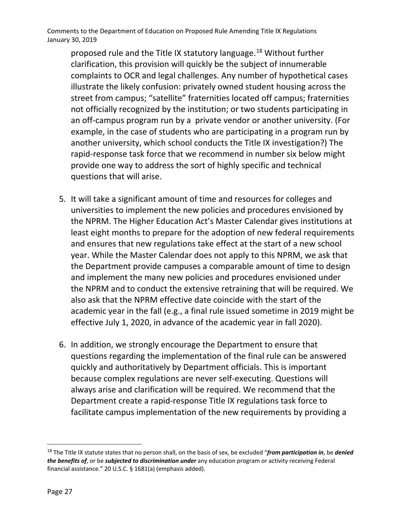proposed rule and the Title IX statutory language.<sup>[18](#page-26-0)</sup> Without further clarification, this provision will quickly be the subject of innumerable complaints to OCR and legal challenges. Any number of hypothetical cases illustrate the likely confusion: privately owned student housing across the street from campus; "satellite" fraternities located off campus; fraternities not officially recognized by the institution; or two students participating in an off-campus program run by a private vendor or another university. (For example, in the case of students who are participating in a program run by another university, which school conducts the Title IX investigation?) The rapid-response task force that we recommend in number six below might provide one way to address the sort of highly specific and technical questions that will arise.

- 5. It will take a significant amount of time and resources for colleges and universities to implement the new policies and procedures envisioned by the NPRM. The Higher Education Act's Master Calendar gives institutions at least eight months to prepare for the adoption of new federal requirements and ensures that new regulations take effect at the start of a new school year. While the Master Calendar does not apply to this NPRM, we ask that the Department provide campuses a comparable amount of time to design and implement the many new policies and procedures envisioned under the NPRM and to conduct the extensive retraining that will be required. We also ask that the NPRM effective date coincide with the start of the academic year in the fall (e.g., a final rule issued sometime in 2019 might be effective July 1, 2020, in advance of the academic year in fall 2020).
- 6. In addition, we strongly encourage the Department to ensure that questions regarding the implementation of the final rule can be answered quickly and authoritatively by Department officials. This is important because complex regulations are never self-executing. Questions will always arise and clarification will be required. We recommend that the Department create a rapid-response Title IX regulations task force to facilitate campus implementation of the new requirements by providing a

<span id="page-26-0"></span><sup>18</sup> The Title IX statute states that no person shall, on the basis of sex, be excluded "*from participation in*, be *denied the benefits of*, or be *subjected to discrimination under* any education program or activity receiving Federal financial assistance." 20 U.S.C. § 1681(a) (emphasis added).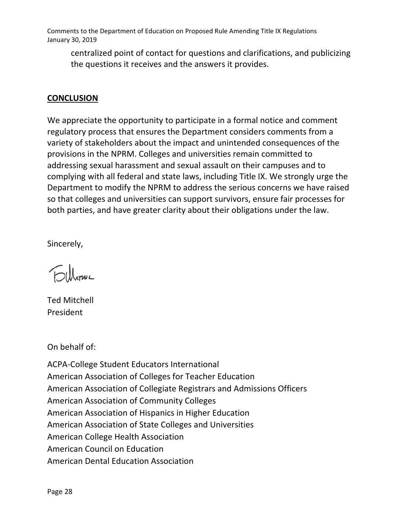centralized point of contact for questions and clarifications, and publicizing the questions it receives and the answers it provides.

#### **CONCLUSION**

We appreciate the opportunity to participate in a formal notice and comment regulatory process that ensures the Department considers comments from a variety of stakeholders about the impact and unintended consequences of the provisions in the NPRM. Colleges and universities remain committed to addressing sexual harassment and sexual assault on their campuses and to complying with all federal and state laws, including Title IX. We strongly urge the Department to modify the NPRM to address the serious concerns we have raised so that colleges and universities can support survivors, ensure fair processes for both parties, and have greater clarity about their obligations under the law.

Sincerely,

**Ell**ler

Ted Mitchell President

On behalf of:

ACPA-College Student Educators International American Association of Colleges for Teacher Education American Association of Collegiate Registrars and Admissions Officers American Association of Community Colleges American Association of Hispanics in Higher Education American Association of State Colleges and Universities American College Health Association American Council on Education American Dental Education Association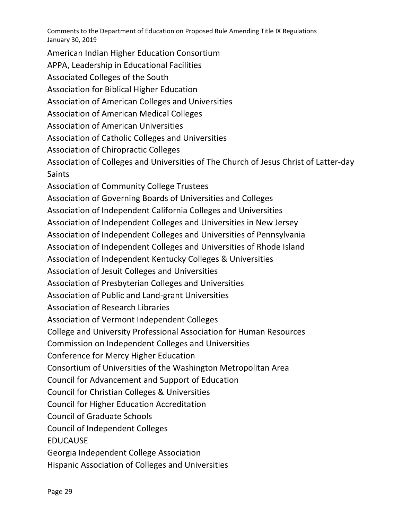American Indian Higher Education Consortium

APPA, Leadership in Educational Facilities

Associated Colleges of the South

Association for Biblical Higher Education

Association of American Colleges and Universities

Association of American Medical Colleges

Association of American Universities

Association of Catholic Colleges and Universities

Association of Chiropractic Colleges

Association of Colleges and Universities of The Church of Jesus Christ of Latter-day Saints

Association of Community College Trustees

Association of Governing Boards of Universities and Colleges

Association of Independent California Colleges and Universities

Association of Independent Colleges and Universities in New Jersey

Association of Independent Colleges and Universities of Pennsylvania

Association of Independent Colleges and Universities of Rhode Island

Association of Independent Kentucky Colleges & Universities

Association of Jesuit Colleges and Universities

Association of Presbyterian Colleges and Universities

Association of Public and Land-grant Universities

Association of Research Libraries

Association of Vermont Independent Colleges

College and University Professional Association for Human Resources

Commission on Independent Colleges and Universities

Conference for Mercy Higher Education

Consortium of Universities of the Washington Metropolitan Area

Council for Advancement and Support of Education

Council for Christian Colleges & Universities

Council for Higher Education Accreditation

Council of Graduate Schools

Council of Independent Colleges

EDUCAUSE

Georgia Independent College Association

Hispanic Association of Colleges and Universities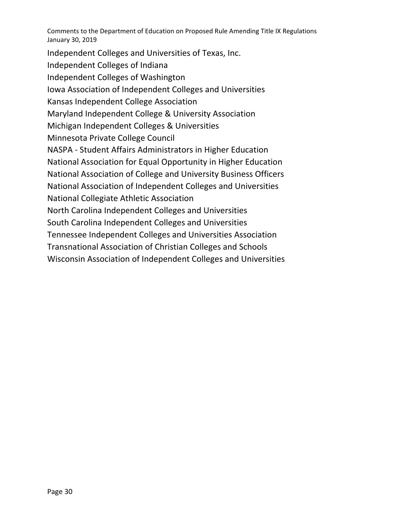Independent Colleges and Universities of Texas, Inc. Independent Colleges of Indiana Independent Colleges of Washington Iowa Association of Independent Colleges and Universities Kansas Independent College Association Maryland Independent College & University Association Michigan Independent Colleges & Universities Minnesota Private College Council NASPA - Student Affairs Administrators in Higher Education National Association for Equal Opportunity in Higher Education National Association of College and University Business Officers National Association of Independent Colleges and Universities National Collegiate Athletic Association North Carolina Independent Colleges and Universities South Carolina Independent Colleges and Universities Tennessee Independent Colleges and Universities Association Transnational Association of Christian Colleges and Schools Wisconsin Association of Independent Colleges and Universities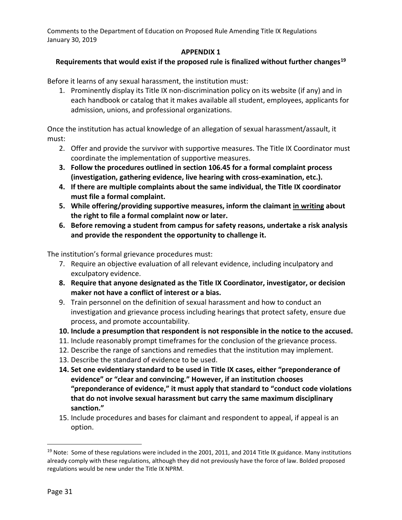#### **APPENDIX 1**

#### **Requirements that would exist if the proposed rule is finalized without further changes[19](#page-30-0)**

Before it learns of any sexual harassment, the institution must:

1. Prominently display its Title IX non-discrimination policy on its website (if any) and in each handbook or catalog that it makes available all student, employees, applicants for admission, unions, and professional organizations.

Once the institution has actual knowledge of an allegation of sexual harassment/assault, it must:

- 2. Offer and provide the survivor with supportive measures. The Title IX Coordinator must coordinate the implementation of supportive measures.
- **3. Follow the procedures outlined in section 106.45 for a formal complaint process (investigation, gathering evidence, live hearing with cross-examination, etc.).**
- **4. If there are multiple complaints about the same individual, the Title IX coordinator must file a formal complaint.**
- **5. While offering/providing supportive measures, inform the claimant in writing about the right to file a formal complaint now or later.**
- **6. Before removing a student from campus for safety reasons, undertake a risk analysis and provide the respondent the opportunity to challenge it.**

The institution's formal grievance procedures must:

- 7. Require an objective evaluation of all relevant evidence, including inculpatory and exculpatory evidence.
- **8. Require that anyone designated as the Title IX Coordinator, investigator, or decision maker not have a conflict of interest or a bias.**
- 9. Train personnel on the definition of sexual harassment and how to conduct an investigation and grievance process including hearings that protect safety, ensure due process, and promote accountability.
- **10. Include a presumption that respondent is not responsible in the notice to the accused.**
- 11. Include reasonably prompt timeframes for the conclusion of the grievance process.
- 12. Describe the range of sanctions and remedies that the institution may implement.
- 13. Describe the standard of evidence to be used.
- **14. Set one evidentiary standard to be used in Title IX cases, either "preponderance of evidence" or "clear and convincing." However, if an institution chooses "preponderance of evidence," it must apply that standard to "conduct code violations that do not involve sexual harassment but carry the same maximum disciplinary sanction."**
- 15. Include procedures and bases for claimant and respondent to appeal, if appeal is an option.

<span id="page-30-0"></span><sup>&</sup>lt;sup>19</sup> Note: Some of these regulations were included in the 2001, 2011, and 2014 Title IX guidance. Many institutions already comply with these regulations, although they did not previously have the force of law. Bolded proposed regulations would be new under the Title IX NPRM.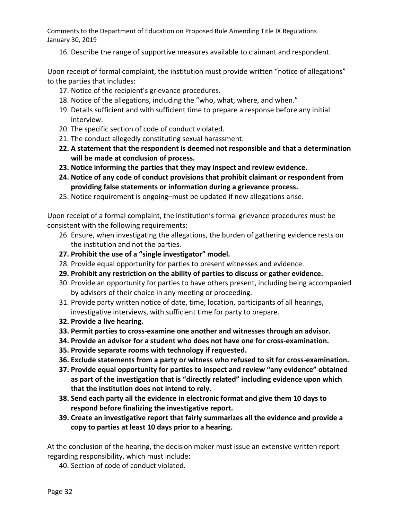16. Describe the range of supportive measures available to claimant and respondent.

Upon receipt of formal complaint, the institution must provide written "notice of allegations" to the parties that includes:

- 17. Notice of the recipient's grievance procedures.
- 18. Notice of the allegations, including the "who, what, where, and when."
- 19. Details sufficient and with sufficient time to prepare a response before any initial interview.
- 20. The specific section of code of conduct violated.
- 21. The conduct allegedly constituting sexual harassment.
- **22. A statement that the respondent is deemed not responsible and that a determination will be made at conclusion of process.**
- **23. Notice informing the parties that they may inspect and review evidence.**
- **24. Notice of any code of conduct provisions that prohibit claimant or respondent from providing false statements or information during a grievance process.**
- 25. Notice requirement is ongoing–must be updated if new allegations arise.

Upon receipt of a formal complaint, the institution's formal grievance procedures must be consistent with the following requirements:

- 26. Ensure, when investigating the allegations, the burden of gathering evidence rests on the institution and not the parties.
- **27. Prohibit the use of a "single investigator" model.**
- 28. Provide equal opportunity for parties to present witnesses and evidence.
- **29. Prohibit any restriction on the ability of parties to discuss or gather evidence.**
- 30. Provide an opportunity for parties to have others present, including being accompanied by advisors of their choice in any meeting or proceeding.
- 31. Provide party written notice of date, time, location, participants of all hearings, investigative interviews, with sufficient time for party to prepare.
- **32. Provide a live hearing.**
- **33. Permit parties to cross-examine one another and witnesses through an advisor.**
- **34. Provide an advisor for a student who does not have one for cross-examination.**
- **35. Provide separate rooms with technology if requested.**
- **36. Exclude statements from a party or witness who refused to sit for cross-examination.**
- **37. Provide equal opportunity for parties to inspect and review "any evidence" obtained as part of the investigation that is "directly related" including evidence upon which that the institution does not intend to rely.**
- **38. Send each party all the evidence in electronic format and give them 10 days to respond before finalizing the investigative report.**
- **39. Create an investigative report that fairly summarizes all the evidence and provide a copy to parties at least 10 days prior to a hearing.**

At the conclusion of the hearing, the decision maker must issue an extensive written report regarding responsibility, which must include:

40. Section of code of conduct violated.